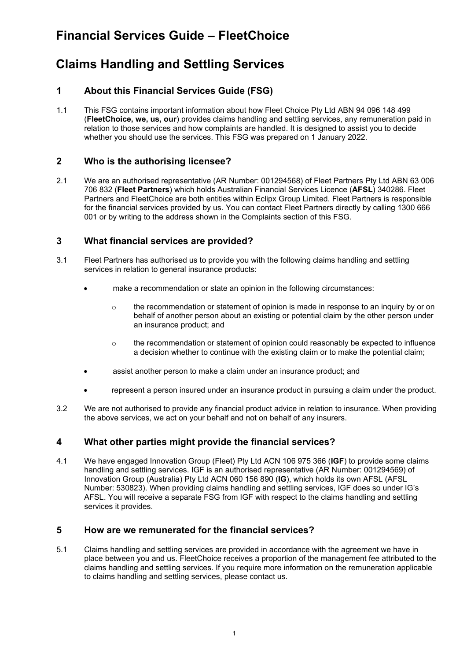# **Financial Services Guide – FleetChoice**

# **Claims Handling and Settling Services**

## **1 About this Financial Services Guide (FSG)**

1.1 This FSG contains important information about how Fleet Choice Pty Ltd ABN 94 096 148 499 (**FleetChoice, we, us, our**) provides claims handling and settling services, any remuneration paid in relation to those services and how complaints are handled. It is designed to assist you to decide whether you should use the services. This FSG was prepared on 1 January 2022.

### **2 Who is the authorising licensee?**

2.1 We are an authorised representative (AR Number: 001294568) of Fleet Partners Pty Ltd ABN 63 006 706 832 (**Fleet Partners**) which holds Australian Financial Services Licence (**AFSL**) 340286. Fleet Partners and FleetChoice are both entities within Eclipx Group Limited. Fleet Partners is responsible for the financial services provided by us. You can contact Fleet Partners directly by calling 1300 666 001 or by writing to the address shown in the Complaints section of this FSG.

### **3 What financial services are provided?**

- 3.1 Fleet Partners has authorised us to provide you with the following claims handling and settling services in relation to general insurance products:
	- make a recommendation or state an opinion in the following circumstances:
		- $\circ$  the recommendation or statement of opinion is made in response to an inquiry by or on behalf of another person about an existing or potential claim by the other person under an insurance product; and
		- $\circ$  the recommendation or statement of opinion could reasonably be expected to influence a decision whether to continue with the existing claim or to make the potential claim;
	- assist another person to make a claim under an insurance product; and
	- represent a person insured under an insurance product in pursuing a claim under the product.
- 3.2 We are not authorised to provide any financial product advice in relation to insurance. When providing the above services, we act on your behalf and not on behalf of any insurers.

#### **4 What other parties might provide the financial services?**

4.1 We have engaged Innovation Group (Fleet) Pty Ltd ACN 106 975 366 (**IGF**) to provide some claims handling and settling services. IGF is an authorised representative (AR Number: 001294569) of Innovation Group (Australia) Pty Ltd ACN 060 156 890 (**IG**), which holds its own AFSL (AFSL Number: 530823). When providing claims handling and settling services, IGF does so under IG's AFSL. You will receive a separate FSG from IGF with respect to the claims handling and settling services it provides.

#### **5 How are we remunerated for the financial services?**

5.1 Claims handling and settling services are provided in accordance with the agreement we have in place between you and us. FleetChoice receives a proportion of the management fee attributed to the claims handling and settling services. If you require more information on the remuneration applicable to claims handling and settling services, please contact us.